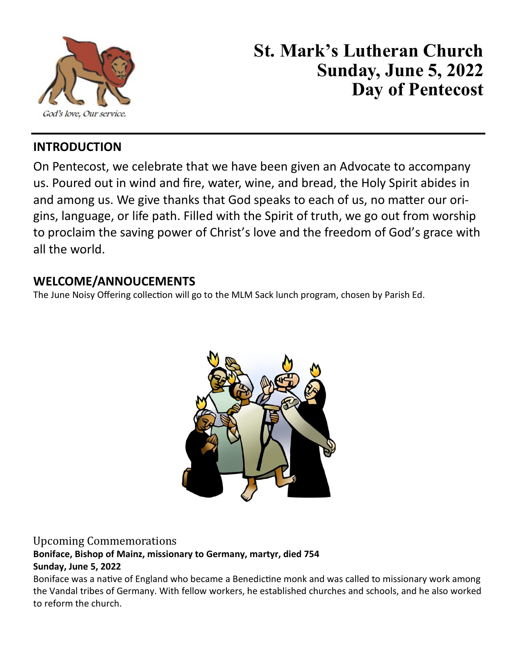

# **St. Mark's Lutheran Church Sunday, June 5, 2022 Day of Pentecost**

#### **INTRODUCTION**

On Pentecost, we celebrate that we have been given an Advocate to accompany us. Poured out in wind and fire, water, wine, and bread, the Holy Spirit abides in and among us. We give thanks that God speaks to each of us, no matter our origins, language, or life path. Filled with the Spirit of truth, we go out from worship to proclaim the saving power of Christ's love and the freedom of God's grace with all the world.

#### **WELCOME/ANNOUCEMENTS**

The June Noisy Offering collection will go to the MLM Sack lunch program, chosen by Parish Ed.



#### Upcoming Commemorations **Boniface, Bishop of Mainz, missionary to Germany, martyr, died 754 Sunday, June 5, 2022**

Boniface was a native of England who became a Benedictine monk and was called to missionary work among the Vandal tribes of Germany. With fellow workers, he established churches and schools, and he also worked to reform the church.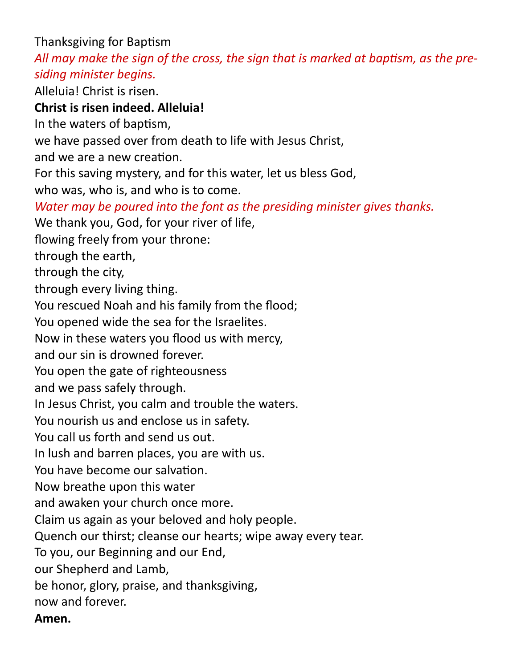Thanksgiving for Baptism

*All may make the sign of the cross, the sign that is marked at baptism, as the presiding minister begins.*

Alleluia! Christ is risen.

## **Christ is risen indeed. Alleluia!**

In the waters of baptism,

we have passed over from death to life with Jesus Christ,

and we are a new creation.

For this saving mystery, and for this water, let us bless God,

who was, who is, and who is to come.

*Water may be poured into the font as the presiding minister gives thanks.*

We thank you, God, for your river of life,

flowing freely from your throne:

through the earth,

through the city,

through every living thing.

You rescued Noah and his family from the flood;

You opened wide the sea for the Israelites.

Now in these waters you flood us with mercy,

and our sin is drowned forever.

You open the gate of righteousness

and we pass safely through.

In Jesus Christ, you calm and trouble the waters.

You nourish us and enclose us in safety.

You call us forth and send us out.

In lush and barren places, you are with us.

You have become our salvation.

Now breathe upon this water

and awaken your church once more.

Claim us again as your beloved and holy people.

Quench our thirst; cleanse our hearts; wipe away every tear.

To you, our Beginning and our End,

our Shepherd and Lamb,

be honor, glory, praise, and thanksgiving,

now and forever.

**Amen.**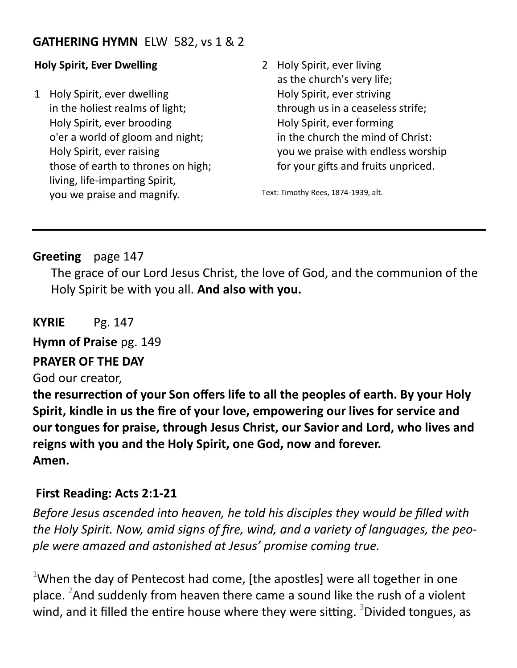#### **GATHERING HYMN** ELW 582, vs 1 & 2

#### **Holy Spirit, Ever Dwelling**

- 1 Holy Spirit, ever dwelling in the holiest realms of light; Holy Spirit, ever brooding o'er a world of gloom and night; Holy Spirit, ever raising those of earth to thrones on high; living, life-imparting Spirit, you we praise and magnify.
- 2 Holy Spirit, ever living as the church's very life; Holy Spirit, ever striving through us in a ceaseless strife; Holy Spirit, ever forming in the church the mind of Christ: you we praise with endless worship for your gifts and fruits unpriced.

Text: Timothy Rees, 1874-1939, alt.

#### **Greeting** page 147

The grace of our Lord Jesus Christ, the love of God, and the communion of the Holy Spirit be with you all. **And also with you.**

**KYRIE** Pg. 147

**Hymn of Praise** pg. 149

#### **PRAYER OF THE DAY**

God our creator,

**the resurrection of your Son offers life to all the peoples of earth. By your Holy Spirit, kindle in us the fire of your love, empowering our lives for service and our tongues for praise, through Jesus Christ, our Savior and Lord, who lives and reigns with you and the Holy Spirit, one God, now and forever. Amen.**

#### **First Reading: Acts 2:1-21**

*Before Jesus ascended into heaven, he told his disciples they would be filled with the Holy Spirit. Now, amid signs of fire, wind, and a variety of languages, the people were amazed and astonished at Jesus' promise coming true.*

 $1$ When the day of Pentecost had come, [the apostles] were all together in one place.  $2$ And suddenly from heaven there came a sound like the rush of a violent wind, and it filled the entire house where they were sitting. <sup>3</sup>Divided tongues, as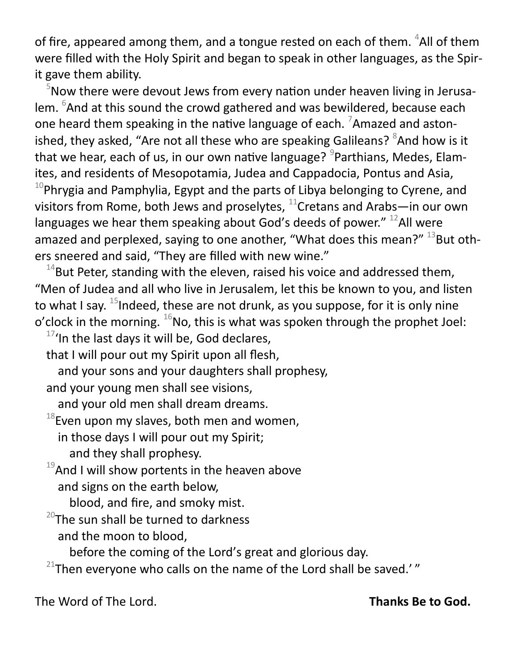of fire, appeared among them, and a tongue rested on each of them.  ${}^{4}$ All of them were filled with the Holy Spirit and began to speak in other languages, as the Spirit gave them ability.

 $5$ Now there were devout Jews from every nation under heaven living in Jerusalem. <sup>6</sup>And at this sound the crowd gathered and was bewildered, because each one heard them speaking in the native language of each.  $\frac{7}{2}$ Amazed and astonished, they asked, "Are not all these who are speaking Galileans? <sup>8</sup>And how is it that we hear, each of us, in our own native language? <sup>9</sup>Parthians, Medes, Elamites, and residents of Mesopotamia, Judea and Cappadocia, Pontus and Asia,  $10P$ Phrygia and Pamphylia, Egypt and the parts of Libya belonging to Cyrene, and visitors from Rome, both Jews and proselytes,  $^{11}$ Cretans and Arabs—in our own languages we hear them speaking about God's deeds of power."  $^{12}$ All were

amazed and perplexed, saying to one another, "What does this mean?"  $^{13}$ But others sneered and said, "They are filled with new wine."

 $14$ But Peter, standing with the eleven, raised his voice and addressed them, "Men of Judea and all who live in Jerusalem, let this be known to you, and listen to what I say.  $^{15}$ Indeed, these are not drunk, as you suppose, for it is only nine o'clock in the morning.  $^{16}$ No, this is what was spoken through the prophet Joel:

 $17'$ In the last days it will be, God declares,

that I will pour out my Spirit upon all flesh,

and your sons and your daughters shall prophesy,

and your young men shall see visions,

and your old men shall dream dreams.

 $18$ Even upon my slaves, both men and women,

in those days I will pour out my Spirit;

and they shall prophesy.

 $19$ And I will show portents in the heaven above and signs on the earth below,

blood, and fire, and smoky mist.

 $^{20}$ The sun shall be turned to darkness and the moon to blood,

before the coming of the Lord's great and glorious day.

 $21$ Then everyone who calls on the name of the Lord shall be saved.' $''$ 

The Word of The Lord. **Thanks Be to God.**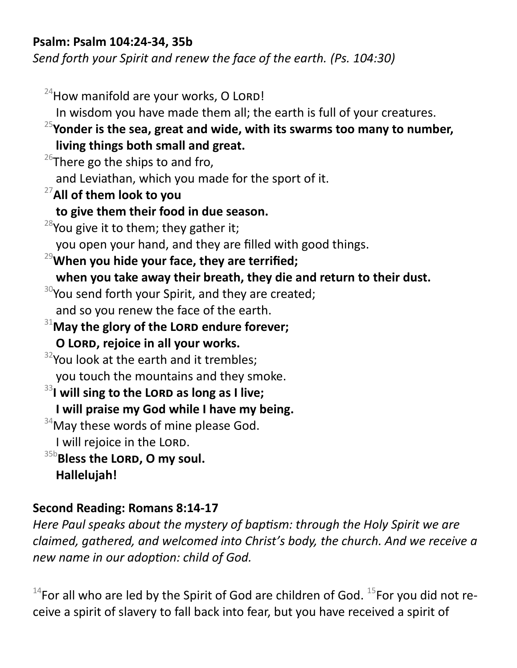#### **Psalm: Psalm 104:24-34, 35b**

*Send forth your Spirit and renew the face of the earth. (Ps. 104:30)*

 $24$ How manifold are your works, O LORD! In wisdom you have made them all; the earth is full of your creatures. <sup>25</sup>**Yonder is the sea, great and wide, with its swarms too many to number, living things both small and great.**  $26$ There go the ships to and fro, and Leviathan, which you made for the sport of it. <sup>27</sup>**All of them look to you to give them their food in due season.**  $28$ You give it to them; they gather it; you open your hand, and they are filled with good things. <sup>29</sup>**When you hide your face, they are terrified; when you take away their breath, they die and return to their dust.**  $30$ You send forth your Spirit, and they are created; and so you renew the face of the earth. <sup>31</sup>May the glory of the LORD endure forever; **O Lord, rejoice in all your works.**  $32$ You look at the earth and it trembles; you touch the mountains and they smoke. <sup>33</sup>I will sing to the LORD as long as I live; **I will praise my God while I have my being.**  $34$ May these words of mine please God. I will rejoice in the LORD.  $35b$ Bless the LORD, O my soul. **Hallelujah!**

## **Second Reading: Romans 8:14-17**

*Here Paul speaks about the mystery of baptism: through the Holy Spirit we are claimed, gathered, and welcomed into Christ's body, the church. And we receive a new name in our adoption: child of God.*

 $14$ For all who are led by the Spirit of God are children of God.  $15$ For you did not receive a spirit of slavery to fall back into fear, but you have received a spirit of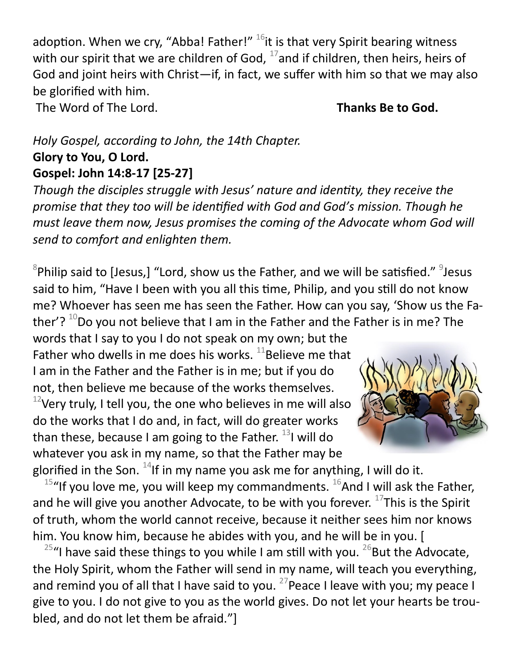adoption. When we cry, "Abba! Father!"  $^{16}$ it is that very Spirit bearing witness with our spirit that we are children of God,  $^{17}$  and if children, then heirs, heirs of God and joint heirs with Christ—if, in fact, we suffer with him so that we may also be glorified with him.

The Word of The Lord. **Thanks Be to God.** 

### *Holy Gospel, according to John, the 14th Chapter.* **Glory to You, O Lord. Gospel: John 14:8-17 [25-27]**

*Though the disciples struggle with Jesus' nature and identity, they receive the promise that they too will be identified with God and God's mission. Though he must leave them now, Jesus promises the coming of the Advocate whom God will send to comfort and enlighten them.*

 ${}^{8}$ Philip said to [Jesus,] "Lord, show us the Father, and we will be satisfied."  ${}^{9}$ Jesus said to him, "Have I been with you all this time, Philip, and you still do not know me? Whoever has seen me has seen the Father. How can you say, 'Show us the Father'?  $10D$  you not believe that I am in the Father and the Father is in me? The

words that I say to you I do not speak on my own; but the Father who dwells in me does his works.  $11$ Believe me that I am in the Father and the Father is in me; but if you do not, then believe me because of the works themselves.  $12$ Very truly, I tell you, the one who believes in me will also do the works that I do and, in fact, will do greater works than these, because I am going to the Father.  $^{13}$ I will do whatever you ask in my name, so that the Father may be



glorified in the Son.  $^{14}$ If in my name you ask me for anything, I will do it. <sup>15</sup>"If you love me, you will keep my commandments.  $^{16}$ And I will ask the Father, and he will give you another Advocate, to be with you forever.  $^{17}$ This is the Spirit of truth, whom the world cannot receive, because it neither sees him nor knows him. You know him, because he abides with you, and he will be in you. [

<sup>25</sup>"I have said these things to you while I am still with you. <sup>26</sup>But the Advocate, the Holy Spirit, whom the Father will send in my name, will teach you everything, and remind you of all that I have said to you.  $27$  Peace I leave with you; my peace I give to you. I do not give to you as the world gives. Do not let your hearts be troubled, and do not let them be afraid."]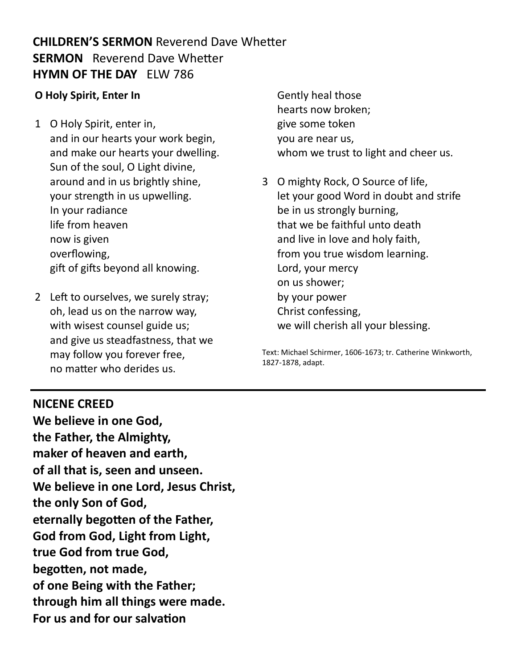## **CHILDREN'S SERMON** Reverend Dave Whetter **SERMON** Reverend Dave Whetter **HYMN OF THE DAY** ELW 786

#### **O Holy Spirit, Enter In**

- 1 O Holy Spirit, enter in, and in our hearts your work begin, and make our hearts your dwelling. Sun of the soul, O Light divine, around and in us brightly shine, your strength in us upwelling. In your radiance life from heaven now is given overflowing, gift of gifts beyond all knowing.
- 2 Left to ourselves, we surely stray; oh, lead us on the narrow way, with wisest counsel guide us; and give us steadfastness, that we may follow you forever free, no matter who derides us.
- Gently heal those hearts now broken; give some token you are near us, whom we trust to light and cheer us.
- 3 O mighty Rock, O Source of life, let your good Word in doubt and strife be in us strongly burning, that we be faithful unto death and live in love and holy faith, from you true wisdom learning. Lord, your mercy on us shower; by your power Christ confessing, we will cherish all your blessing.

Text: Michael Schirmer, 1606-1673; tr. Catherine Winkworth, 1827-1878, adapt.

#### **NICENE CREED**

**We believe in one God, the Father, the Almighty, maker of heaven and earth, of all that is, seen and unseen. We believe in one Lord, Jesus Christ, the only Son of God, eternally begotten of the Father, God from God, Light from Light, true God from true God, begotten, not made, of one Being with the Father; through him all things were made. For us and for our salvation**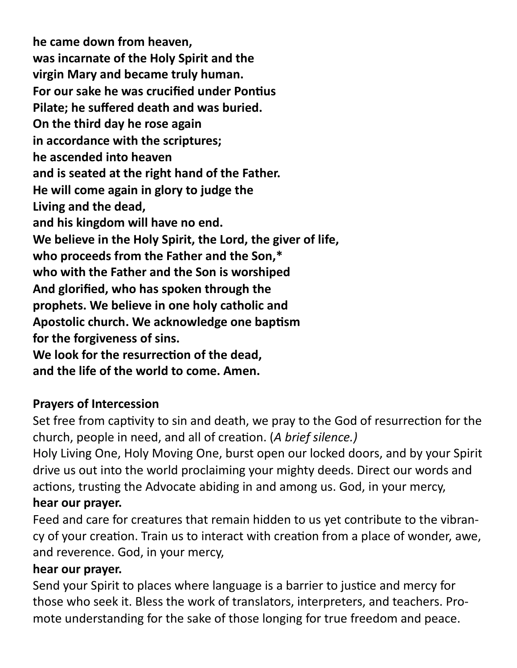**he came down from heaven, was incarnate of the Holy Spirit and the virgin Mary and became truly human. For our sake he was crucified under Pontius Pilate; he suffered death and was buried. On the third day he rose again in accordance with the scriptures; he ascended into heaven and is seated at the right hand of the Father. He will come again in glory to judge the Living and the dead, and his kingdom will have no end. We believe in the Holy Spirit, the Lord, the giver of life, who proceeds from the Father and the Son,\* who with the Father and the Son is worshiped And glorified, who has spoken through the prophets. We believe in one holy catholic and Apostolic church. We acknowledge one baptism for the forgiveness of sins. We look for the resurrection of the dead, and the life of the world to come. Amen.**

## **Prayers of Intercession**

Set free from captivity to sin and death, we pray to the God of resurrection for the church, people in need, and all of creation. (*A brief silence.)*

Holy Living One, Holy Moving One, burst open our locked doors, and by your Spirit drive us out into the world proclaiming your mighty deeds. Direct our words and actions, trusting the Advocate abiding in and among us. God, in your mercy, **hear our prayer.**

Feed and care for creatures that remain hidden to us yet contribute to the vibrancy of your creation. Train us to interact with creation from a place of wonder, awe, and reverence. God, in your mercy,

#### **hear our prayer.**

Send your Spirit to places where language is a barrier to justice and mercy for those who seek it. Bless the work of translators, interpreters, and teachers. Promote understanding for the sake of those longing for true freedom and peace.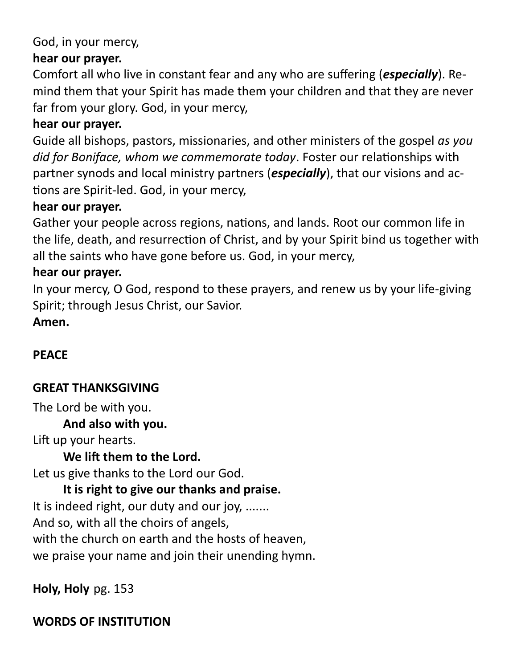## God, in your mercy,

## **hear our prayer.**

Comfort all who live in constant fear and any who are suffering (*especially*). Remind them that your Spirit has made them your children and that they are never far from your glory. God, in your mercy,

## **hear our prayer.**

Guide all bishops, pastors, missionaries, and other ministers of the gospel *as you did for Boniface, whom we commemorate today*. Foster our relationships with partner synods and local ministry partners (*especially*), that our visions and actions are Spirit-led. God, in your mercy,

## **hear our prayer.**

Gather your people across regions, nations, and lands. Root our common life in the life, death, and resurrection of Christ, and by your Spirit bind us together with all the saints who have gone before us. God, in your mercy,

## **hear our prayer.**

In your mercy, O God, respond to these prayers, and renew us by your life-giving Spirit; through Jesus Christ, our Savior.

**Amen.**

## **PEACE**

## **GREAT THANKSGIVING**

The Lord be with you.

## **And also with you.**

Lift up your hearts.

## **We lift them to the Lord.**

Let us give thanks to the Lord our God.

## **It is right to give our thanks and praise.**

It is indeed right, our duty and our joy, .......

And so, with all the choirs of angels,

with the church on earth and the hosts of heaven,

we praise your name and join their unending hymn.

**Holy, Holy** pg. 153

## **WORDS OF INSTITUTION**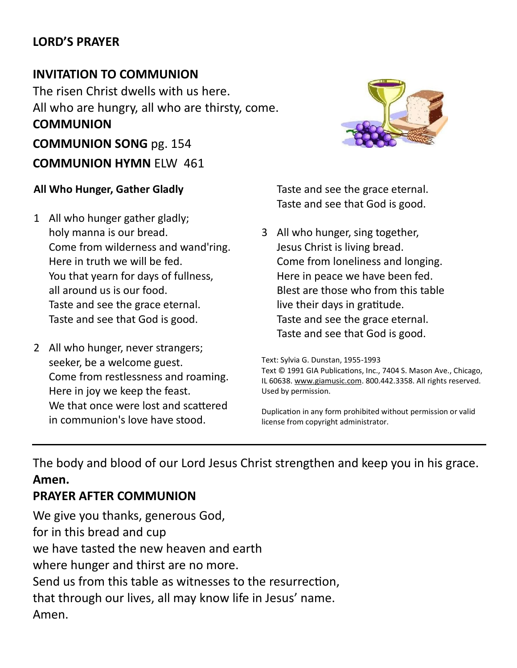#### **LORD'S PRAYER**

## **INVITATION TO COMMUNION**

The risen Christ dwells with us here. All who are hungry, all who are thirsty, come. **COMMUNION COMMUNION SONG** pg. 154 **COMMUNION HYMN** ELW 461

#### **All Who Hunger, Gather Gladly**

- 1 All who hunger gather gladly; holy manna is our bread. Come from wilderness and wand'ring. Here in truth we will be fed. You that yearn for days of fullness, all around us is our food. Taste and see the grace eternal. Taste and see that God is good.
- 2 All who hunger, never strangers; seeker, be a welcome guest. Come from restlessness and roaming. Here in joy we keep the feast. We that once were lost and scattered in communion's love have stood.



Taste and see the grace eternal. Taste and see that God is good.

3 All who hunger, sing together, Jesus Christ is living bread. Come from loneliness and longing. Here in peace we have been fed. Blest are those who from this table live their days in gratitude. Taste and see the grace eternal. Taste and see that God is good.

Text: Sylvia G. Dunstan, 1955-1993 Text © 1991 GIA Publications, Inc., 7404 S. Mason Ave., Chicago, IL 60638. [www.giamusic.com.](http://www.giamusic.com/) 800.442.3358. All rights reserved. Used by permission.

Duplication in any form prohibited without permission or valid license from copyright administrator.

The body and blood of our Lord Jesus Christ strengthen and keep you in his grace. **Amen.**

#### **PRAYER AFTER COMMUNION**

We give you thanks, generous God, for in this bread and cup we have tasted the new heaven and earth where hunger and thirst are no more. Send us from this table as witnesses to the resurrection, that through our lives, all may know life in Jesus' name. Amen.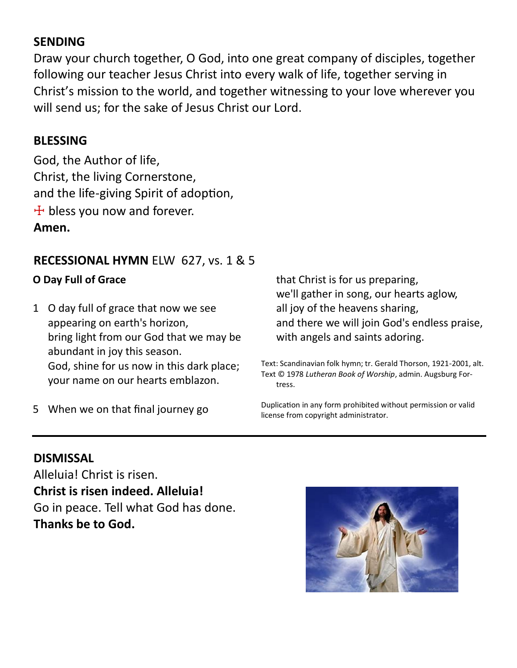## **SENDING**

Draw your church together, O God, into one great company of disciples, together following our teacher Jesus Christ into every walk of life, together serving in Christ's mission to the world, and together witnessing to your love wherever you will send us; for the sake of Jesus Christ our Lord.

#### **BLESSING**

God, the Author of life, Christ, the living Cornerstone, and the life-giving Spirit of adoption,  $+$  bless you now and forever. **Amen.**

## **RECESSIONAL HYMN** ELW 627, vs. 1 & 5

#### **O Day Full of Grace**

1 O day full of grace that now we see appearing on earth's horizon, bring light from our God that we may be abundant in joy this season. God, shine for us now in this dark place; your name on our hearts emblazon.

5 When we on that final journey go

that Christ is for us preparing, we'll gather in song, our hearts aglow, all joy of the heavens sharing, and there we will join God's endless praise, with angels and saints adoring.

Text: Scandinavian folk hymn; tr. Gerald Thorson, 1921-2001, alt. Text © 1978 *Lutheran Book of Worship*, admin. Augsburg Fortress.

Duplication in any form prohibited without permission or valid license from copyright administrator.

#### **DISMISSAL**

Alleluia! Christ is risen. **Christ is risen indeed. Alleluia!** Go in peace. Tell what God has done. **Thanks be to God.**